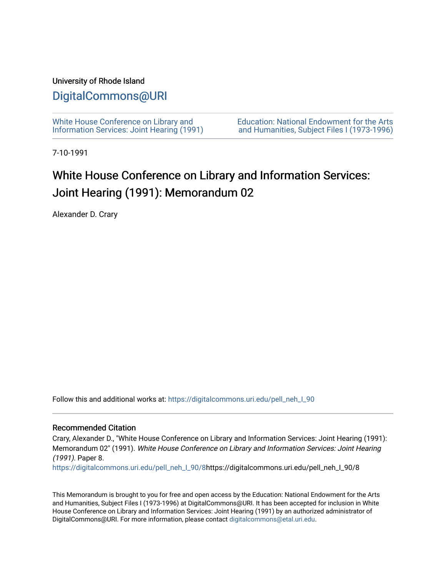### University of Rhode Island

## [DigitalCommons@URI](https://digitalcommons.uri.edu/)

[White House Conference on Library and](https://digitalcommons.uri.edu/pell_neh_I_90) [Information Services: Joint Hearing \(1991\)](https://digitalcommons.uri.edu/pell_neh_I_90) [Education: National Endowment for the Arts](https://digitalcommons.uri.edu/pell_neh_I)  [and Humanities, Subject Files I \(1973-1996\)](https://digitalcommons.uri.edu/pell_neh_I) 

7-10-1991

# White House Conference on Library and Information Services: Joint Hearing (1991): Memorandum 02

Alexander D. Crary

Follow this and additional works at: [https://digitalcommons.uri.edu/pell\\_neh\\_I\\_90](https://digitalcommons.uri.edu/pell_neh_I_90?utm_source=digitalcommons.uri.edu%2Fpell_neh_I_90%2F8&utm_medium=PDF&utm_campaign=PDFCoverPages) 

### Recommended Citation

Crary, Alexander D., "White House Conference on Library and Information Services: Joint Hearing (1991): Memorandum 02" (1991). White House Conference on Library and Information Services: Joint Hearing (1991). Paper 8.

[https://digitalcommons.uri.edu/pell\\_neh\\_I\\_90/8h](https://digitalcommons.uri.edu/pell_neh_I_90/8?utm_source=digitalcommons.uri.edu%2Fpell_neh_I_90%2F8&utm_medium=PDF&utm_campaign=PDFCoverPages)ttps://digitalcommons.uri.edu/pell\_neh\_I\_90/8

This Memorandum is brought to you for free and open access by the Education: National Endowment for the Arts and Humanities, Subject Files I (1973-1996) at DigitalCommons@URI. It has been accepted for inclusion in White House Conference on Library and Information Services: Joint Hearing (1991) by an authorized administrator of DigitalCommons@URI. For more information, please contact [digitalcommons@etal.uri.edu.](mailto:digitalcommons@etal.uri.edu)